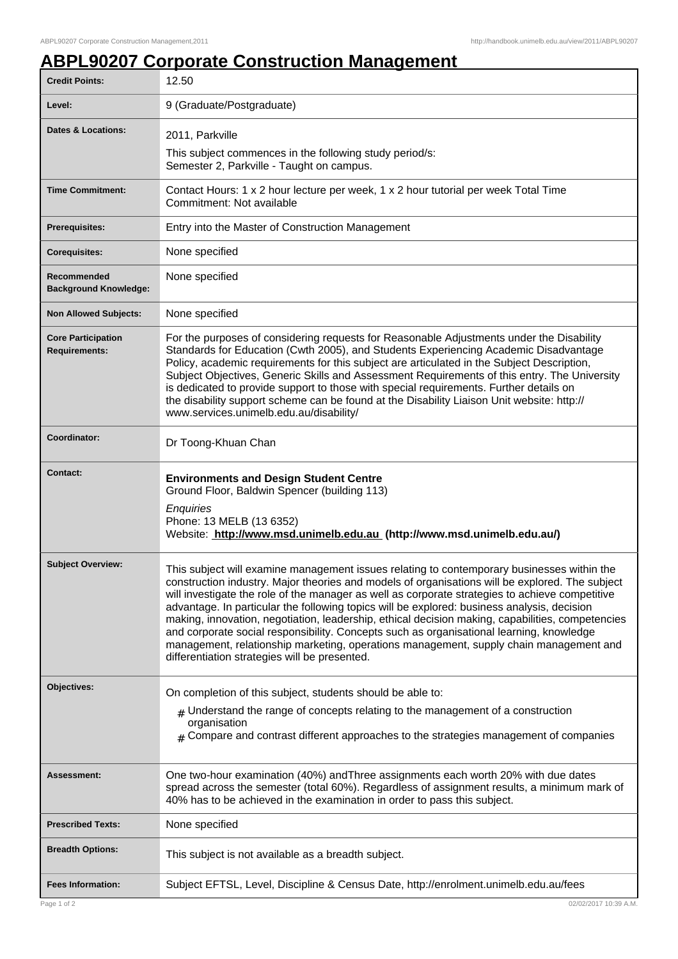## **ABPL90207 Corporate Construction Management**

| <b>Credit Points:</b>                             | 12.50                                                                                                                                                                                                                                                                                                                                                                                                                                                                                                                                                                                                                                                                                                                                      |
|---------------------------------------------------|--------------------------------------------------------------------------------------------------------------------------------------------------------------------------------------------------------------------------------------------------------------------------------------------------------------------------------------------------------------------------------------------------------------------------------------------------------------------------------------------------------------------------------------------------------------------------------------------------------------------------------------------------------------------------------------------------------------------------------------------|
| Level:                                            | 9 (Graduate/Postgraduate)                                                                                                                                                                                                                                                                                                                                                                                                                                                                                                                                                                                                                                                                                                                  |
| <b>Dates &amp; Locations:</b>                     | 2011, Parkville<br>This subject commences in the following study period/s:<br>Semester 2, Parkville - Taught on campus.                                                                                                                                                                                                                                                                                                                                                                                                                                                                                                                                                                                                                    |
| <b>Time Commitment:</b>                           | Contact Hours: 1 x 2 hour lecture per week, 1 x 2 hour tutorial per week Total Time<br>Commitment: Not available                                                                                                                                                                                                                                                                                                                                                                                                                                                                                                                                                                                                                           |
| <b>Prerequisites:</b>                             | Entry into the Master of Construction Management                                                                                                                                                                                                                                                                                                                                                                                                                                                                                                                                                                                                                                                                                           |
| <b>Corequisites:</b>                              | None specified                                                                                                                                                                                                                                                                                                                                                                                                                                                                                                                                                                                                                                                                                                                             |
| Recommended<br><b>Background Knowledge:</b>       | None specified                                                                                                                                                                                                                                                                                                                                                                                                                                                                                                                                                                                                                                                                                                                             |
| <b>Non Allowed Subjects:</b>                      | None specified                                                                                                                                                                                                                                                                                                                                                                                                                                                                                                                                                                                                                                                                                                                             |
| <b>Core Participation</b><br><b>Requirements:</b> | For the purposes of considering requests for Reasonable Adjustments under the Disability<br>Standards for Education (Cwth 2005), and Students Experiencing Academic Disadvantage<br>Policy, academic requirements for this subject are articulated in the Subject Description,<br>Subject Objectives, Generic Skills and Assessment Requirements of this entry. The University<br>is dedicated to provide support to those with special requirements. Further details on<br>the disability support scheme can be found at the Disability Liaison Unit website: http://<br>www.services.unimelb.edu.au/disability/                                                                                                                          |
| Coordinator:                                      | Dr Toong-Khuan Chan                                                                                                                                                                                                                                                                                                                                                                                                                                                                                                                                                                                                                                                                                                                        |
| Contact:                                          | <b>Environments and Design Student Centre</b><br>Ground Floor, Baldwin Spencer (building 113)<br>Enquiries<br>Phone: 13 MELB (13 6352)<br>Website: http://www.msd.unimelb.edu.au (http://www.msd.unimelb.edu.au/)                                                                                                                                                                                                                                                                                                                                                                                                                                                                                                                          |
| <b>Subject Overview:</b>                          | This subject will examine management issues relating to contemporary businesses within the<br>construction industry. Major theories and models of organisations will be explored. The subject<br>will investigate the role of the manager as well as corporate strategies to achieve competitive<br>advantage. In particular the following topics will be explored: business analysis, decision<br>making, innovation, negotiation, leadership, ethical decision making, capabilities, competencies<br>and corporate social responsibility. Concepts such as organisational learning, knowledge<br>management, relationship marketing, operations management, supply chain management and<br>differentiation strategies will be presented. |
| Objectives:                                       | On completion of this subject, students should be able to:<br>$#$ Understand the range of concepts relating to the management of a construction<br>organisation<br>$*$ Compare and contrast different approaches to the strategies management of companies                                                                                                                                                                                                                                                                                                                                                                                                                                                                                 |
| <b>Assessment:</b>                                | One two-hour examination (40%) and Three assignments each worth 20% with due dates<br>spread across the semester (total 60%). Regardless of assignment results, a minimum mark of<br>40% has to be achieved in the examination in order to pass this subject.                                                                                                                                                                                                                                                                                                                                                                                                                                                                              |
| <b>Prescribed Texts:</b>                          | None specified                                                                                                                                                                                                                                                                                                                                                                                                                                                                                                                                                                                                                                                                                                                             |
| <b>Breadth Options:</b>                           | This subject is not available as a breadth subject.                                                                                                                                                                                                                                                                                                                                                                                                                                                                                                                                                                                                                                                                                        |
| <b>Fees Information:</b>                          | Subject EFTSL, Level, Discipline & Census Date, http://enrolment.unimelb.edu.au/fees                                                                                                                                                                                                                                                                                                                                                                                                                                                                                                                                                                                                                                                       |
| Page 1 of 2                                       | 02/02/2017 10:39 A.M.                                                                                                                                                                                                                                                                                                                                                                                                                                                                                                                                                                                                                                                                                                                      |